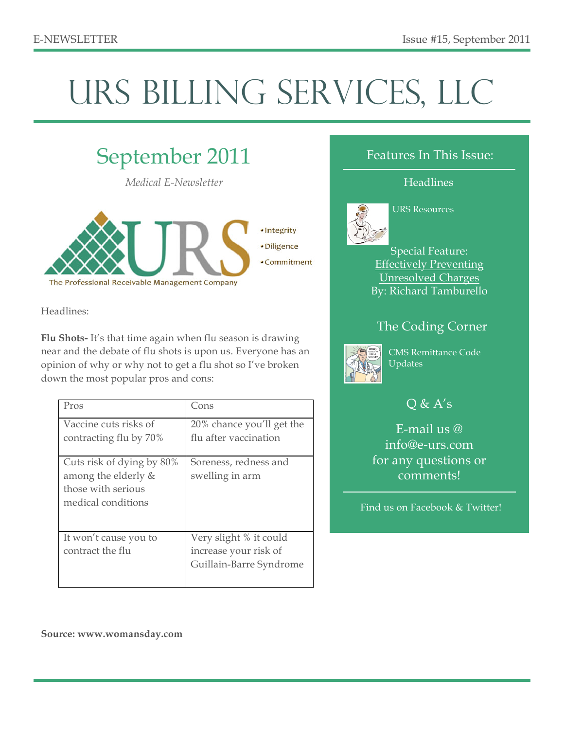# URS BILLING SERVICES, LLC



Headlines:

**Flu Shots-** It's that time again when flu season is drawing near and the debate of flu shots is upon us. Everyone has an opinion of why or why not to get a flu shot so I've broken down the most popular pros and cons:

| Pros                                                                                         | Cons                                                                       |
|----------------------------------------------------------------------------------------------|----------------------------------------------------------------------------|
| Vaccine cuts risks of<br>contracting flu by 70%                                              | 20% chance you'll get the<br>flu after vaccination                         |
| Cuts risk of dying by 80%<br>among the elderly &<br>those with serious<br>medical conditions | Soreness, redness and<br>swelling in arm                                   |
| It won't cause you to<br>contract the flu                                                    | Very slight % it could<br>increase your risk of<br>Guillain-Barre Syndrome |

#### Features In This Issue:

#### **Headlines**



#### URS Resources

Special Feature: Effectively Preventing Unresolved Charges By: Richard Tamburello

### The Coding Corner



CMS Remittance Code Updates

# $Q & A's$

E-mail us @ info@e-urs.com for any questions or comments!

Find us on Facebook & Twitter!

**Source: www.womansday.com**